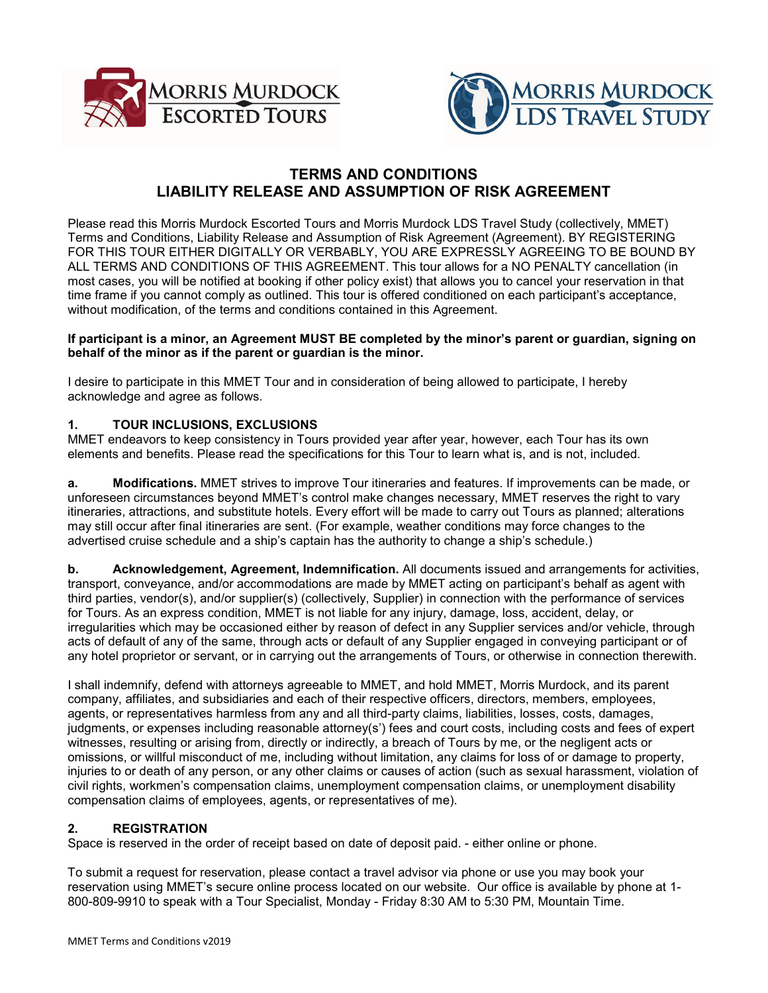



# **TERMS AND CONDITIONS LIABILITY RELEASE AND ASSUMPTION OF RISK AGREEMENT**

Please read this Morris Murdock Escorted Tours and Morris Murdock LDS Travel Study (collectively, MMET) Terms and Conditions, Liability Release and Assumption of Risk Agreement (Agreement). BY REGISTERING FOR THIS TOUR EITHER DIGITALLY OR VERBABLY, YOU ARE EXPRESSLY AGREEING TO BE BOUND BY ALL TERMS AND CONDITIONS OF THIS AGREEMENT. This tour allows for a NO PENALTY cancellation (in most cases, you will be notified at booking if other policy exist) that allows you to cancel your reservation in that time frame if you cannot comply as outlined. This tour is offered conditioned on each participant's acceptance, without modification, of the terms and conditions contained in this Agreement.

#### **If participant is a minor, an Agreement MUST BE completed by the minor's parent or guardian, signing on behalf of the minor as if the parent or guardian is the minor.**

I desire to participate in this MMET Tour and in consideration of being allowed to participate, I hereby acknowledge and agree as follows.

### **1. TOUR INCLUSIONS, EXCLUSIONS**

MMET endeavors to keep consistency in Tours provided year after year, however, each Tour has its own elements and benefits. Please read the specifications for this Tour to learn what is, and is not, included.

**a. Modifications.** MMET strives to improve Tour itineraries and features. If improvements can be made, or unforeseen circumstances beyond MMET's control make changes necessary, MMET reserves the right to vary itineraries, attractions, and substitute hotels. Every effort will be made to carry out Tours as planned; alterations may still occur after final itineraries are sent. (For example, weather conditions may force changes to the advertised cruise schedule and a ship's captain has the authority to change a ship's schedule.)

**b. Acknowledgement, Agreement, Indemnification.** All documents issued and arrangements for activities, transport, conveyance, and/or accommodations are made by MMET acting on participant's behalf as agent with third parties, vendor(s), and/or supplier(s) (collectively, Supplier) in connection with the performance of services for Tours. As an express condition, MMET is not liable for any injury, damage, loss, accident, delay, or irregularities which may be occasioned either by reason of defect in any Supplier services and/or vehicle, through acts of default of any of the same, through acts or default of any Supplier engaged in conveying participant or of any hotel proprietor or servant, or in carrying out the arrangements of Tours, or otherwise in connection therewith.

I shall indemnify, defend with attorneys agreeable to MMET, and hold MMET, Morris Murdock, and its parent company, affiliates, and subsidiaries and each of their respective officers, directors, members, employees, agents, or representatives harmless from any and all third-party claims, liabilities, losses, costs, damages, judgments, or expenses including reasonable attorney(s') fees and court costs, including costs and fees of expert witnesses, resulting or arising from, directly or indirectly, a breach of Tours by me, or the negligent acts or omissions, or willful misconduct of me, including without limitation, any claims for loss of or damage to property, injuries to or death of any person, or any other claims or causes of action (such as sexual harassment, violation of civil rights, workmen's compensation claims, unemployment compensation claims, or unemployment disability compensation claims of employees, agents, or representatives of me).

#### **2. REGISTRATION**

Space is reserved in the order of receipt based on date of deposit paid. - either online or phone.

To submit a request for reservation, please contact a travel advisor via phone or use you may book your reservation using MMET's secure online process located on our website. Our office is available by phone at 1- 800-809-9910 to speak with a Tour Specialist, Monday - Friday 8:30 AM to 5:30 PM, Mountain Time.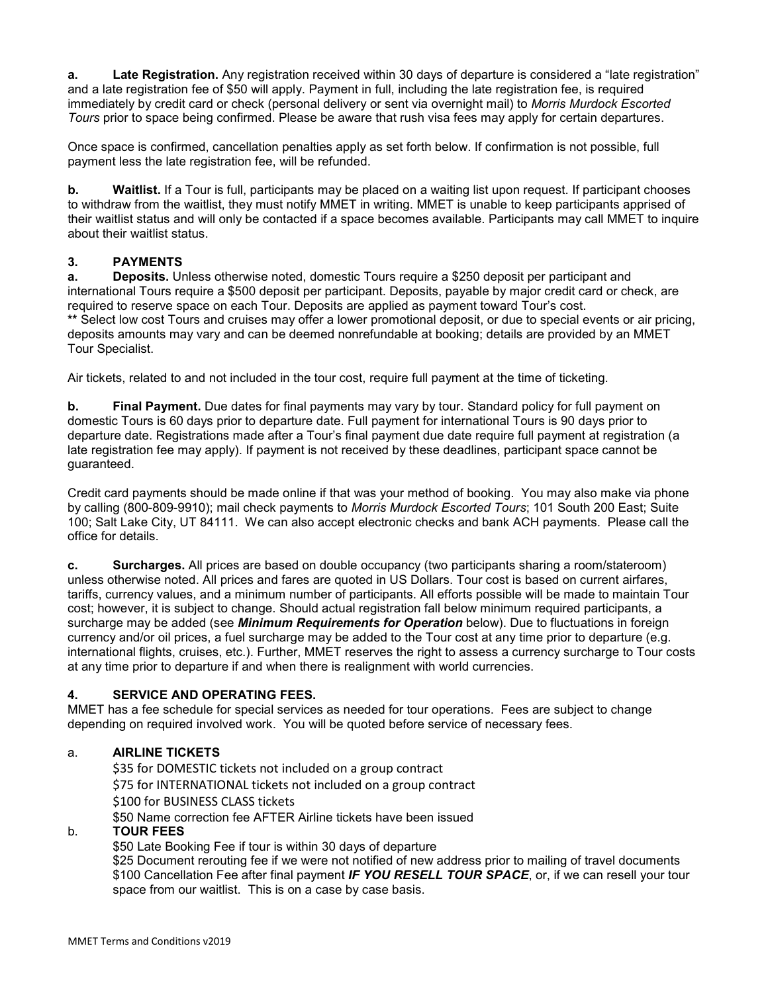**a. Late Registration.** Any registration received within 30 days of departure is considered a "late registration" and a late registration fee of \$50 will apply. Payment in full, including the late registration fee, is required immediately by credit card or check (personal delivery or sent via overnight mail) to *Morris Murdock Escorted Tours* prior to space being confirmed. Please be aware that rush visa fees may apply for certain departures.

Once space is confirmed, cancellation penalties apply as set forth below. If confirmation is not possible, full payment less the late registration fee, will be refunded.

**b. Waitlist.** If a Tour is full, participants may be placed on a waiting list upon request. If participant chooses to withdraw from the waitlist, they must notify MMET in writing. MMET is unable to keep participants apprised of their waitlist status and will only be contacted if a space becomes available. Participants may call MMET to inquire about their waitlist status.

### **3. PAYMENTS**

**a. Deposits.** Unless otherwise noted, domestic Tours require a \$250 deposit per participant and international Tours require a \$500 deposit per participant. Deposits, payable by major credit card or check, are required to reserve space on each Tour. Deposits are applied as payment toward Tour's cost. **\*\*** Select low cost Tours and cruises may offer a lower promotional deposit, or due to special events or air pricing, deposits amounts may vary and can be deemed nonrefundable at booking; details are provided by an MMET Tour Specialist.

Air tickets, related to and not included in the tour cost, require full payment at the time of ticketing.

**b. Final Payment.** Due dates for final payments may vary by tour. Standard policy for full payment on domestic Tours is 60 days prior to departure date. Full payment for international Tours is 90 days prior to departure date. Registrations made after a Tour's final payment due date require full payment at registration (a late registration fee may apply). If payment is not received by these deadlines, participant space cannot be guaranteed.

Credit card payments should be made online if that was your method of booking. You may also make via phone by calling (800-809-9910); mail check payments to *Morris Murdock Escorted Tours*; 101 South 200 East; Suite 100; Salt Lake City, UT 84111. We can also accept electronic checks and bank ACH payments. Please call the office for details.

**c. Surcharges.** All prices are based on double occupancy (two participants sharing a room/stateroom) unless otherwise noted. All prices and fares are quoted in US Dollars. Tour cost is based on current airfares, tariffs, currency values, and a minimum number of participants. All efforts possible will be made to maintain Tour cost; however, it is subject to change. Should actual registration fall below minimum required participants, a surcharge may be added (see *Minimum Requirements for Operation* below). Due to fluctuations in foreign currency and/or oil prices, a fuel surcharge may be added to the Tour cost at any time prior to departure (e.g. international flights, cruises, etc.). Further, MMET reserves the right to assess a currency surcharge to Tour costs at any time prior to departure if and when there is realignment with world currencies.

#### **4. SERVICE AND OPERATING FEES.**

MMET has a fee schedule for special services as needed for tour operations. Fees are subject to change depending on required involved work. You will be quoted before service of necessary fees.

#### a. **AIRLINE TICKETS**

\$35 for DOMESTIC tickets not included on a group contract \$75 for INTERNATIONAL tickets not included on a group contract \$100 for BUSINESS CLASS tickets \$50 Name correction fee AFTER Airline tickets have been issued

#### b. **TOUR FEES**

\$50 Late Booking Fee if tour is within 30 days of departure

\$25 Document rerouting fee if we were not notified of new address prior to mailing of travel documents \$100 Cancellation Fee after final payment *IF YOU RESELL TOUR SPACE*, or, if we can resell your tour space from our waitlist. This is on a case by case basis.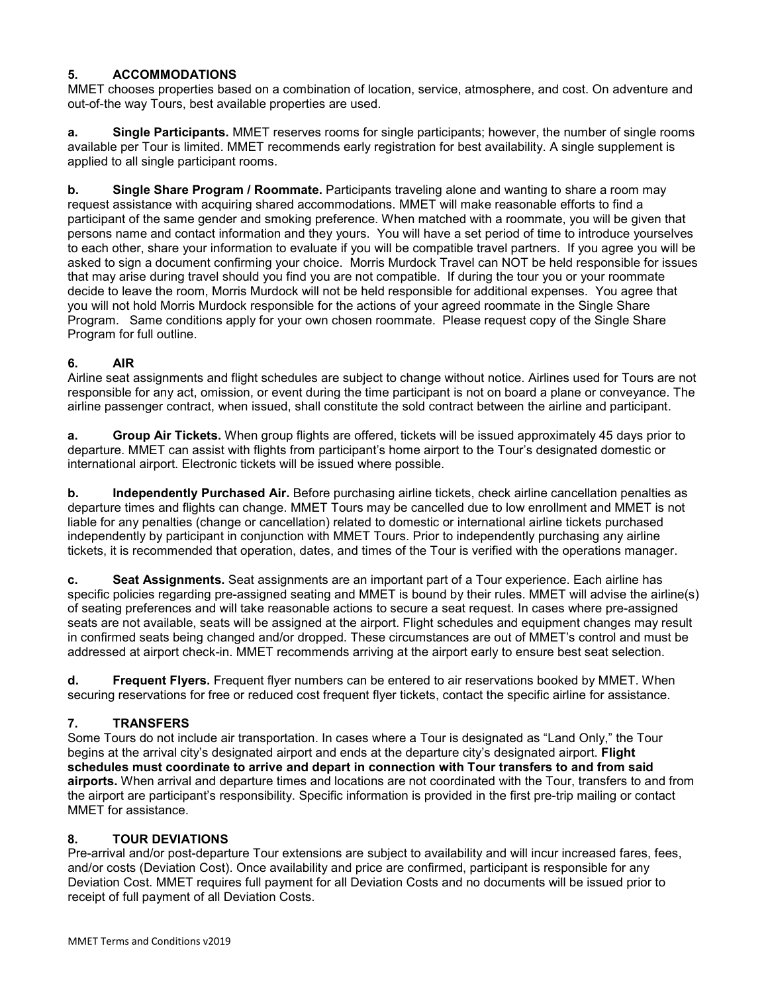### **5. ACCOMMODATIONS**

MMET chooses properties based on a combination of location, service, atmosphere, and cost. On adventure and out-of-the way Tours, best available properties are used.

**a. Single Participants.** MMET reserves rooms for single participants; however, the number of single rooms available per Tour is limited. MMET recommends early registration for best availability. A single supplement is applied to all single participant rooms.

**b. Single Share Program / Roommate.** Participants traveling alone and wanting to share a room may request assistance with acquiring shared accommodations. MMET will make reasonable efforts to find a participant of the same gender and smoking preference. When matched with a roommate, you will be given that persons name and contact information and they yours. You will have a set period of time to introduce yourselves to each other, share your information to evaluate if you will be compatible travel partners. If you agree you will be asked to sign a document confirming your choice. Morris Murdock Travel can NOT be held responsible for issues that may arise during travel should you find you are not compatible. If during the tour you or your roommate decide to leave the room, Morris Murdock will not be held responsible for additional expenses. You agree that you will not hold Morris Murdock responsible for the actions of your agreed roommate in the Single Share Program. Same conditions apply for your own chosen roommate. Please request copy of the Single Share Program for full outline.

### **6. AIR**

Airline seat assignments and flight schedules are subject to change without notice. Airlines used for Tours are not responsible for any act, omission, or event during the time participant is not on board a plane or conveyance. The airline passenger contract, when issued, shall constitute the sold contract between the airline and participant.

**a. Group Air Tickets.** When group flights are offered, tickets will be issued approximately 45 days prior to departure. MMET can assist with flights from participant's home airport to the Tour's designated domestic or international airport. Electronic tickets will be issued where possible.

**b. Independently Purchased Air.** Before purchasing airline tickets, check airline cancellation penalties as departure times and flights can change. MMET Tours may be cancelled due to low enrollment and MMET is not liable for any penalties (change or cancellation) related to domestic or international airline tickets purchased independently by participant in conjunction with MMET Tours. Prior to independently purchasing any airline tickets, it is recommended that operation, dates, and times of the Tour is verified with the operations manager.

**c. Seat Assignments.** Seat assignments are an important part of a Tour experience. Each airline has specific policies regarding pre-assigned seating and MMET is bound by their rules. MMET will advise the airline(s) of seating preferences and will take reasonable actions to secure a seat request. In cases where pre-assigned seats are not available, seats will be assigned at the airport. Flight schedules and equipment changes may result in confirmed seats being changed and/or dropped. These circumstances are out of MMET's control and must be addressed at airport check-in. MMET recommends arriving at the airport early to ensure best seat selection.

**d. Frequent Flyers.** Frequent flyer numbers can be entered to air reservations booked by MMET. When securing reservations for free or reduced cost frequent flyer tickets, contact the specific airline for assistance.

## **7. TRANSFERS**

Some Tours do not include air transportation. In cases where a Tour is designated as "Land Only," the Tour begins at the arrival city's designated airport and ends at the departure city's designated airport. **Flight schedules must coordinate to arrive and depart in connection with Tour transfers to and from said airports.** When arrival and departure times and locations are not coordinated with the Tour, transfers to and from the airport are participant's responsibility. Specific information is provided in the first pre-trip mailing or contact MMET for assistance.

#### **8. TOUR DEVIATIONS**

Pre-arrival and/or post-departure Tour extensions are subject to availability and will incur increased fares, fees, and/or costs (Deviation Cost). Once availability and price are confirmed, participant is responsible for any Deviation Cost. MMET requires full payment for all Deviation Costs and no documents will be issued prior to receipt of full payment of all Deviation Costs.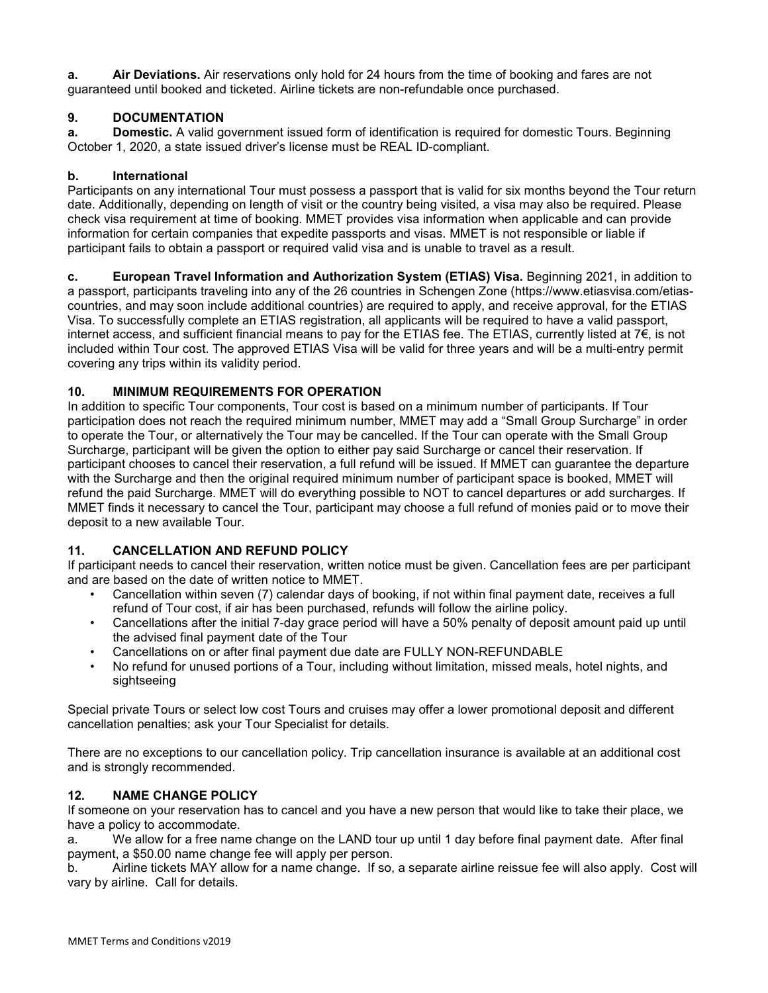**a. Air Deviations.** Air reservations only hold for 24 hours from the time of booking and fares are not guaranteed until booked and ticketed. Airline tickets are non-refundable once purchased.

### **9. DOCUMENTATION**

**a. Domestic.** A valid government issued form of identification is required for domestic Tours. Beginning October 1, 2020, a state issued driver's license must be REAL ID-compliant.

#### **b. International**

Participants on any international Tour must possess a passport that is valid for six months beyond the Tour return date. Additionally, depending on length of visit or the country being visited, a visa may also be required. Please check visa requirement at time of booking. MMET provides visa information when applicable and can provide information for certain companies that expedite passports and visas. MMET is not responsible or liable if participant fails to obtain a passport or required valid visa and is unable to travel as a result.

**c. European Travel Information and Authorization System (ETIAS) Visa.** Beginning 2021, in addition to a passport, participants traveling into any of the 26 countries in Schengen Zone (https://www.etiasvisa.com/etiascountries, and may soon include additional countries) are required to apply, and receive approval, for the ETIAS Visa. To successfully complete an ETIAS registration, all applicants will be required to have a valid passport, internet access, and sufficient financial means to pay for the ETIAS fee. The ETIAS, currently listed at 7€, is not included within Tour cost. The approved ETIAS Visa will be valid for three years and will be a multi-entry permit covering any trips within its validity period.

#### **10. MINIMUM REQUIREMENTS FOR OPERATION**

In addition to specific Tour components, Tour cost is based on a minimum number of participants. If Tour participation does not reach the required minimum number, MMET may add a "Small Group Surcharge" in order to operate the Tour, or alternatively the Tour may be cancelled. If the Tour can operate with the Small Group Surcharge, participant will be given the option to either pay said Surcharge or cancel their reservation. If participant chooses to cancel their reservation, a full refund will be issued. If MMET can guarantee the departure with the Surcharge and then the original required minimum number of participant space is booked, MMET will refund the paid Surcharge. MMET will do everything possible to NOT to cancel departures or add surcharges. If MMET finds it necessary to cancel the Tour, participant may choose a full refund of monies paid or to move their deposit to a new available Tour.

#### **11. CANCELLATION AND REFUND POLICY**

If participant needs to cancel their reservation, written notice must be given. Cancellation fees are per participant and are based on the date of written notice to MMET.

- Cancellation within seven (7) calendar days of booking, if not within final payment date, receives a full refund of Tour cost, if air has been purchased, refunds will follow the airline policy.
- Cancellations after the initial 7-day grace period will have a 50% penalty of deposit amount paid up until the advised final payment date of the Tour
- Cancellations on or after final payment due date are FULLY NON-REFUNDABLE
- No refund for unused portions of a Tour, including without limitation, missed meals, hotel nights, and sightseeing

Special private Tours or select low cost Tours and cruises may offer a lower promotional deposit and different cancellation penalties; ask your Tour Specialist for details.

There are no exceptions to our cancellation policy. Trip cancellation insurance is available at an additional cost and is strongly recommended.

#### **12. NAME CHANGE POLICY**

If someone on your reservation has to cancel and you have a new person that would like to take their place, we have a policy to accommodate.

a. We allow for a free name change on the LAND tour up until 1 day before final payment date. After final payment, a \$50.00 name change fee will apply per person.

b. Airline tickets MAY allow for a name change. If so, a separate airline reissue fee will also apply. Cost will vary by airline. Call for details.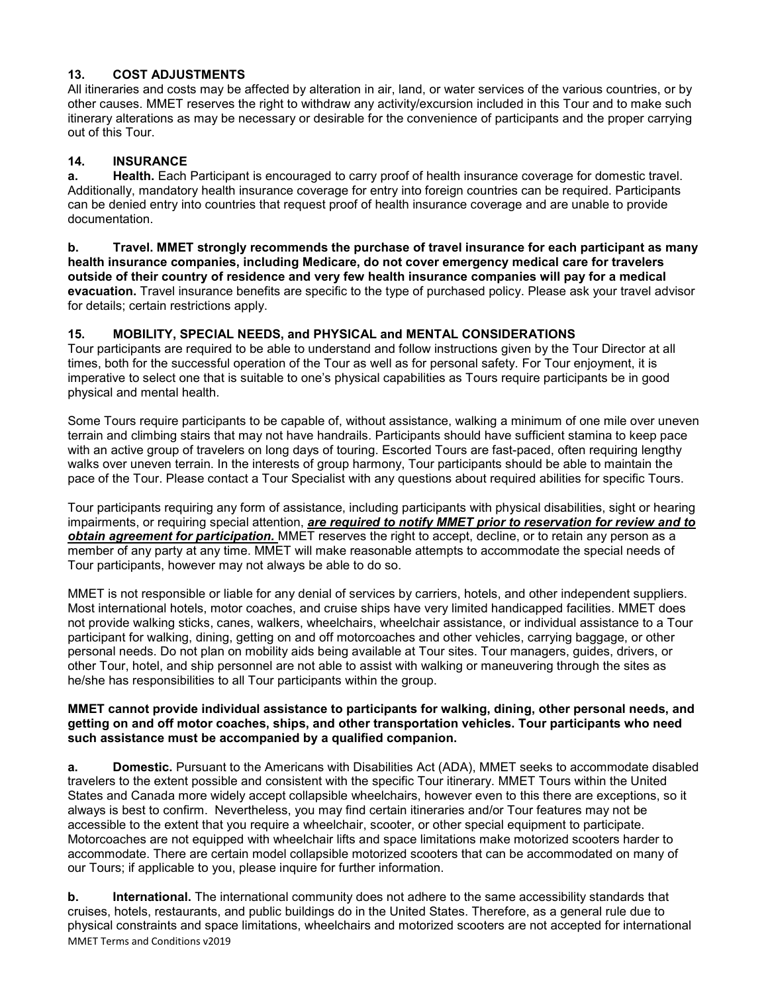### **13. COST ADJUSTMENTS**

All itineraries and costs may be affected by alteration in air, land, or water services of the various countries, or by other causes. MMET reserves the right to withdraw any activity/excursion included in this Tour and to make such itinerary alterations as may be necessary or desirable for the convenience of participants and the proper carrying out of this Tour.

## **14. INSURANCE**

**a. Health.** Each Participant is encouraged to carry proof of health insurance coverage for domestic travel. Additionally, mandatory health insurance coverage for entry into foreign countries can be required. Participants can be denied entry into countries that request proof of health insurance coverage and are unable to provide documentation.

**b. Travel. MMET strongly recommends the purchase of travel insurance for each participant as many health insurance companies, including Medicare, do not cover emergency medical care for travelers outside of their country of residence and very few health insurance companies will pay for a medical evacuation.** Travel insurance benefits are specific to the type of purchased policy. Please ask your travel advisor for details; certain restrictions apply.

### **15. MOBILITY, SPECIAL NEEDS, and PHYSICAL and MENTAL CONSIDERATIONS**

Tour participants are required to be able to understand and follow instructions given by the Tour Director at all times, both for the successful operation of the Tour as well as for personal safety. For Tour enjoyment, it is imperative to select one that is suitable to one's physical capabilities as Tours require participants be in good physical and mental health.

Some Tours require participants to be capable of, without assistance, walking a minimum of one mile over uneven terrain and climbing stairs that may not have handrails. Participants should have sufficient stamina to keep pace with an active group of travelers on long days of touring. Escorted Tours are fast-paced, often requiring lengthy walks over uneven terrain. In the interests of group harmony, Tour participants should be able to maintain the pace of the Tour. Please contact a Tour Specialist with any questions about required abilities for specific Tours.

Tour participants requiring any form of assistance, including participants with physical disabilities, sight or hearing impairments, or requiring special attention, *are required to notify MMET prior to reservation for review and to obtain agreement for participation.* MMET reserves the right to accept, decline, or to retain any person as a member of any party at any time. MMET will make reasonable attempts to accommodate the special needs of Tour participants, however may not always be able to do so.

MMET is not responsible or liable for any denial of services by carriers, hotels, and other independent suppliers. Most international hotels, motor coaches, and cruise ships have very limited handicapped facilities. MMET does not provide walking sticks, canes, walkers, wheelchairs, wheelchair assistance, or individual assistance to a Tour participant for walking, dining, getting on and off motorcoaches and other vehicles, carrying baggage, or other personal needs. Do not plan on mobility aids being available at Tour sites. Tour managers, guides, drivers, or other Tour, hotel, and ship personnel are not able to assist with walking or maneuvering through the sites as he/she has responsibilities to all Tour participants within the group.

#### **MMET cannot provide individual assistance to participants for walking, dining, other personal needs, and getting on and off motor coaches, ships, and other transportation vehicles. Tour participants who need such assistance must be accompanied by a qualified companion.**

**a. Domestic.** Pursuant to the Americans with Disabilities Act (ADA), MMET seeks to accommodate disabled travelers to the extent possible and consistent with the specific Tour itinerary. MMET Tours within the United States and Canada more widely accept collapsible wheelchairs, however even to this there are exceptions, so it always is best to confirm. Nevertheless, you may find certain itineraries and/or Tour features may not be accessible to the extent that you require a wheelchair, scooter, or other special equipment to participate. Motorcoaches are not equipped with wheelchair lifts and space limitations make motorized scooters harder to accommodate. There are certain model collapsible motorized scooters that can be accommodated on many of our Tours; if applicable to you, please inquire for further information.

MMET Terms and Conditions v2019 **b. International.** The international community does not adhere to the same accessibility standards that cruises, hotels, restaurants, and public buildings do in the United States. Therefore, as a general rule due to physical constraints and space limitations, wheelchairs and motorized scooters are not accepted for international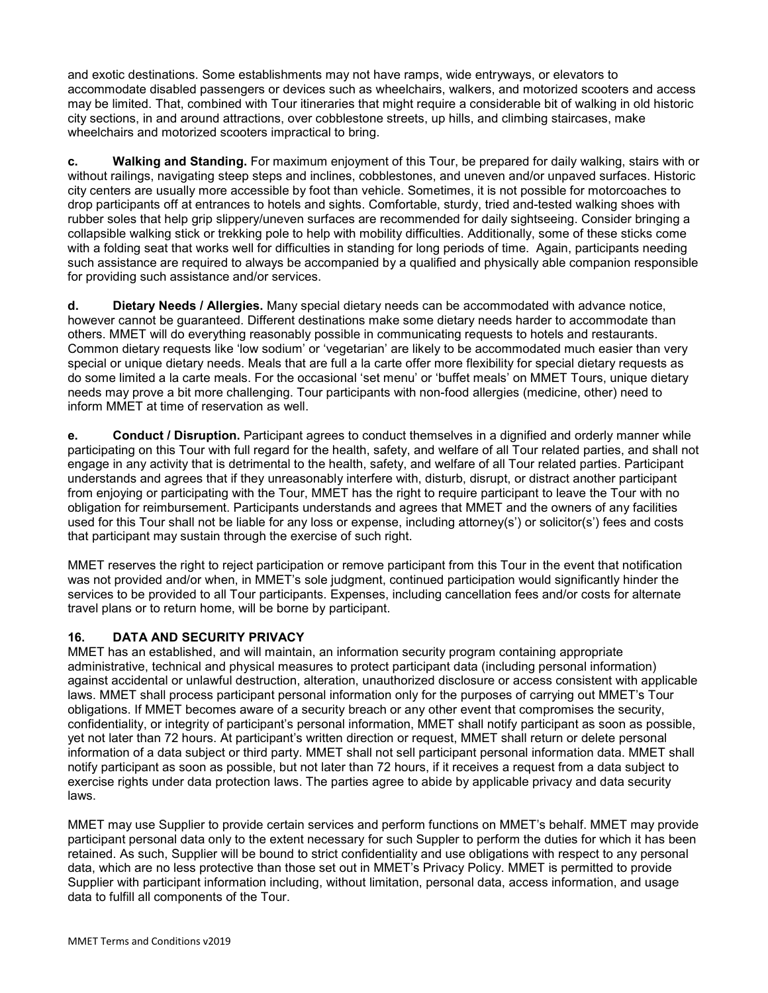and exotic destinations. Some establishments may not have ramps, wide entryways, or elevators to accommodate disabled passengers or devices such as wheelchairs, walkers, and motorized scooters and access may be limited. That, combined with Tour itineraries that might require a considerable bit of walking in old historic city sections, in and around attractions, over cobblestone streets, up hills, and climbing staircases, make wheelchairs and motorized scooters impractical to bring.

**c. Walking and Standing.** For maximum enjoyment of this Tour, be prepared for daily walking, stairs with or without railings, navigating steep steps and inclines, cobblestones, and uneven and/or unpaved surfaces. Historic city centers are usually more accessible by foot than vehicle. Sometimes, it is not possible for motorcoaches to drop participants off at entrances to hotels and sights. Comfortable, sturdy, tried and-tested walking shoes with rubber soles that help grip slippery/uneven surfaces are recommended for daily sightseeing. Consider bringing a collapsible walking stick or trekking pole to help with mobility difficulties. Additionally, some of these sticks come with a folding seat that works well for difficulties in standing for long periods of time. Again, participants needing such assistance are required to always be accompanied by a qualified and physically able companion responsible for providing such assistance and/or services.

**d. Dietary Needs / Allergies.** Many special dietary needs can be accommodated with advance notice, however cannot be guaranteed. Different destinations make some dietary needs harder to accommodate than others. MMET will do everything reasonably possible in communicating requests to hotels and restaurants. Common dietary requests like 'low sodium' or 'vegetarian' are likely to be accommodated much easier than very special or unique dietary needs. Meals that are full a la carte offer more flexibility for special dietary requests as do some limited a la carte meals. For the occasional 'set menu' or 'buffet meals' on MMET Tours, unique dietary needs may prove a bit more challenging. Tour participants with non-food allergies (medicine, other) need to inform MMET at time of reservation as well.

**e. Conduct / Disruption.** Participant agrees to conduct themselves in a dignified and orderly manner while participating on this Tour with full regard for the health, safety, and welfare of all Tour related parties, and shall not engage in any activity that is detrimental to the health, safety, and welfare of all Tour related parties. Participant understands and agrees that if they unreasonably interfere with, disturb, disrupt, or distract another participant from enjoying or participating with the Tour, MMET has the right to require participant to leave the Tour with no obligation for reimbursement. Participants understands and agrees that MMET and the owners of any facilities used for this Tour shall not be liable for any loss or expense, including attorney(s') or solicitor(s') fees and costs that participant may sustain through the exercise of such right.

MMET reserves the right to reject participation or remove participant from this Tour in the event that notification was not provided and/or when, in MMET's sole judgment, continued participation would significantly hinder the services to be provided to all Tour participants. Expenses, including cancellation fees and/or costs for alternate travel plans or to return home, will be borne by participant.

## **16. DATA AND SECURITY PRIVACY**

MMET has an established, and will maintain, an information security program containing appropriate administrative, technical and physical measures to protect participant data (including personal information) against accidental or unlawful destruction, alteration, unauthorized disclosure or access consistent with applicable laws. MMET shall process participant personal information only for the purposes of carrying out MMET's Tour obligations. If MMET becomes aware of a security breach or any other event that compromises the security, confidentiality, or integrity of participant's personal information, MMET shall notify participant as soon as possible, yet not later than 72 hours. At participant's written direction or request, MMET shall return or delete personal information of a data subject or third party. MMET shall not sell participant personal information data. MMET shall notify participant as soon as possible, but not later than 72 hours, if it receives a request from a data subject to exercise rights under data protection laws. The parties agree to abide by applicable privacy and data security laws.

MMET may use Supplier to provide certain services and perform functions on MMET's behalf. MMET may provide participant personal data only to the extent necessary for such Suppler to perform the duties for which it has been retained. As such, Supplier will be bound to strict confidentiality and use obligations with respect to any personal data, which are no less protective than those set out in MMET's Privacy Policy. MMET is permitted to provide Supplier with participant information including, without limitation, personal data, access information, and usage data to fulfill all components of the Tour.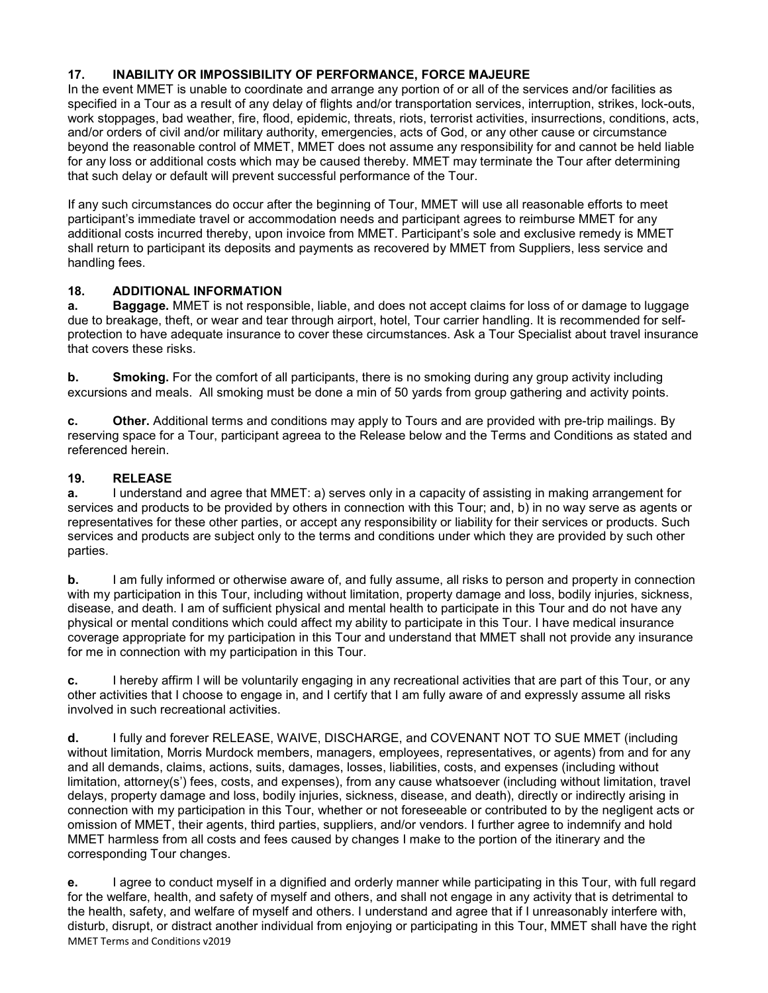### **17. INABILITY OR IMPOSSIBILITY OF PERFORMANCE, FORCE MAJEURE**

In the event MMET is unable to coordinate and arrange any portion of or all of the services and/or facilities as specified in a Tour as a result of any delay of flights and/or transportation services, interruption, strikes, lock-outs, work stoppages, bad weather, fire, flood, epidemic, threats, riots, terrorist activities, insurrections, conditions, acts, and/or orders of civil and/or military authority, emergencies, acts of God, or any other cause or circumstance beyond the reasonable control of MMET, MMET does not assume any responsibility for and cannot be held liable for any loss or additional costs which may be caused thereby. MMET may terminate the Tour after determining that such delay or default will prevent successful performance of the Tour.

If any such circumstances do occur after the beginning of Tour, MMET will use all reasonable efforts to meet participant's immediate travel or accommodation needs and participant agrees to reimburse MMET for any additional costs incurred thereby, upon invoice from MMET. Participant's sole and exclusive remedy is MMET shall return to participant its deposits and payments as recovered by MMET from Suppliers, less service and handling fees.

### **18. ADDITIONAL INFORMATION**

**a. Baggage.** MMET is not responsible, liable, and does not accept claims for loss of or damage to luggage due to breakage, theft, or wear and tear through airport, hotel, Tour carrier handling. It is recommended for selfprotection to have adequate insurance to cover these circumstances. Ask a Tour Specialist about travel insurance that covers these risks.

**b. Smoking.** For the comfort of all participants, there is no smoking during any group activity including excursions and meals. All smoking must be done a min of 50 yards from group gathering and activity points.

**c. Other.** Additional terms and conditions may apply to Tours and are provided with pre-trip mailings. By reserving space for a Tour, participant agreea to the Release below and the Terms and Conditions as stated and referenced herein.

### **19. RELEASE**

**a.** I understand and agree that MMET; a) serves only in a capacity of assisting in making arrangement for services and products to be provided by others in connection with this Tour; and, b) in no way serve as agents or representatives for these other parties, or accept any responsibility or liability for their services or products. Such services and products are subject only to the terms and conditions under which they are provided by such other parties.

**b.** I am fully informed or otherwise aware of, and fully assume, all risks to person and property in connection with my participation in this Tour, including without limitation, property damage and loss, bodily injuries, sickness, disease, and death. I am of sufficient physical and mental health to participate in this Tour and do not have any physical or mental conditions which could affect my ability to participate in this Tour. I have medical insurance coverage appropriate for my participation in this Tour and understand that MMET shall not provide any insurance for me in connection with my participation in this Tour.

**c.** I hereby affirm I will be voluntarily engaging in any recreational activities that are part of this Tour, or any other activities that I choose to engage in, and I certify that I am fully aware of and expressly assume all risks involved in such recreational activities.

**d.** I fully and forever RELEASE, WAIVE, DISCHARGE, and COVENANT NOT TO SUE MMET (including without limitation, Morris Murdock members, managers, employees, representatives, or agents) from and for any and all demands, claims, actions, suits, damages, losses, liabilities, costs, and expenses (including without limitation, attorney(s') fees, costs, and expenses), from any cause whatsoever (including without limitation, travel delays, property damage and loss, bodily injuries, sickness, disease, and death), directly or indirectly arising in connection with my participation in this Tour, whether or not foreseeable or contributed to by the negligent acts or omission of MMET, their agents, third parties, suppliers, and/or vendors. I further agree to indemnify and hold MMET harmless from all costs and fees caused by changes I make to the portion of the itinerary and the corresponding Tour changes.

MMET Terms and Conditions v2019 **e.** I agree to conduct myself in a dignified and orderly manner while participating in this Tour, with full regard for the welfare, health, and safety of myself and others, and shall not engage in any activity that is detrimental to the health, safety, and welfare of myself and others. I understand and agree that if I unreasonably interfere with, disturb, disrupt, or distract another individual from enjoying or participating in this Tour, MMET shall have the right